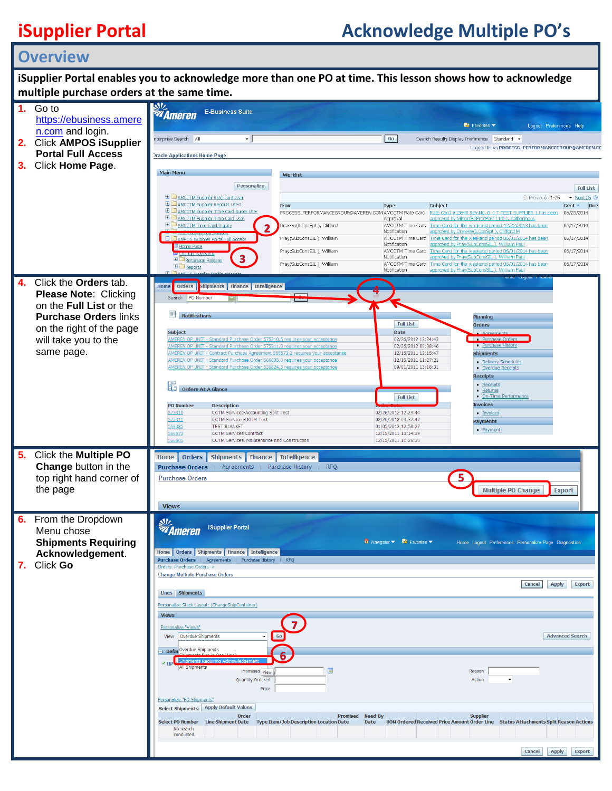## **iSupplier Portal Acknowledge Multiple PO's**

## **Overview**

| iSupplier Portal enables you to acknowledge more than one PO at time. This lesson shows how to acknowledge |                                                                                                                                                                                                                                            |                                                         |                                                                                             |                                                                                                                                                                                                       |
|------------------------------------------------------------------------------------------------------------|--------------------------------------------------------------------------------------------------------------------------------------------------------------------------------------------------------------------------------------------|---------------------------------------------------------|---------------------------------------------------------------------------------------------|-------------------------------------------------------------------------------------------------------------------------------------------------------------------------------------------------------|
| multiple purchase orders at the same time.                                                                 |                                                                                                                                                                                                                                            |                                                         |                                                                                             |                                                                                                                                                                                                       |
| Go to<br>1.<br>https://ebusiness.amere                                                                     | <b><i><u>sv.</u><br/>V</i></b> Ameren<br><b>E-Business Suite</b>                                                                                                                                                                           |                                                         |                                                                                             |                                                                                                                                                                                                       |
| n.com and login.                                                                                           | nterprise Search All<br>$\star$                                                                                                                                                                                                            |                                                         | Go                                                                                          | $\mathbb{R}$ Favorites $\blacktriangledown$<br>Logout Preferences Help<br>Search Results Display Preference Standard +                                                                                |
| 2.<br><b>Click AMPOS iSupplier</b><br><b>Portal Full Access</b>                                            | <b>Dracle Applications Home Page</b>                                                                                                                                                                                                       |                                                         |                                                                                             | Logged In As PROCESS_PERFORMANCEGROUP@AMERE                                                                                                                                                           |
| 3. Click Home Page.                                                                                        |                                                                                                                                                                                                                                            |                                                         |                                                                                             |                                                                                                                                                                                                       |
|                                                                                                            | Main Menu<br>Personalize                                                                                                                                                                                                                   | Worklist                                                |                                                                                             | <b>Full List</b>                                                                                                                                                                                      |
|                                                                                                            | E CAMCCTM Supplier Rate Card User<br>E CAMCCTM Supplier Reports Users                                                                                                                                                                      | From                                                    | Subject<br>Type                                                                             | $\blacktriangleright$ Next 25 $\odot$<br>C Previous 1-25<br>Due<br>Sent <del>▼</del>                                                                                                                  |
|                                                                                                            | E C AMCCTM Supplier Time Card Super User<br>E AMCCTM Supplier Time Card User                                                                                                                                                               | PROCESS PERFORMANCEGROUP@AMEREN.COM AMCCTM Rate Card    | Approval                                                                                    | Rate Card #13648 Rev.No. 0 -I T TEST SUPPLIER 1 has been<br>06/23/2014<br>approved by Minor (SCProcPerf 1105), Katherine A                                                                            |
|                                                                                                            | E CAMCCTM Time Card Inquiry<br>El Campos isupplier Portal Full Acces                                                                                                                                                                       | Drawve(ILOpsSpt), Clifford<br>Pray(SubConsSIL), William | AMCCTM Time Card<br>Notification                                                            | Time Card for the weekend period 12/22/2013 has been<br>06/17/2014<br>approved by Drawve(ILOpsSpt), Clifford M<br>AMCCTM Time Card Time Card for the weekend period 06/01/2014 has been<br>06/17/2014 |
|                                                                                                            | Home Page                                                                                                                                                                                                                                  | Pray(SubConsSIL), William                               | Notification                                                                                | approved by Pray(SubConsSIL), William Pau<br>AMCCTM Time Card Time Card for the weekend period 06/01/2014 has been<br>06/17/2014                                                                      |
|                                                                                                            | <b>Ed Retainage Release</b><br>E Reports                                                                                                                                                                                                   | Pray(SubConsSIL), William                               | Notification<br>AMCCTM Time Card<br>Notification                                            | approved by Pray(SubConsSIL), William Pau<br>Time Card for the weekend period 06/01/2014 has been<br>06/17/2014<br>approved by Pray(SubConsSIL), William Pau                                          |
| Click the <b>Orders</b> tab.<br>4.                                                                         | Orders   Shipments   Finance   Intelligence<br>Home                                                                                                                                                                                        |                                                         |                                                                                             |                                                                                                                                                                                                       |
| <b>Please Note: Clicking</b><br>on the Full List or the<br><b>Purchase Orders links</b>                    | Search PO Number                                                                                                                                                                                                                           |                                                         |                                                                                             |                                                                                                                                                                                                       |
|                                                                                                            | u<br><b>Notifications</b>                                                                                                                                                                                                                  |                                                         | <b>Full List</b>                                                                            | Planning<br><b>Orders</b>                                                                                                                                                                             |
| on the right of the page<br>will take you to the                                                           | <b>Subject</b><br>AMEREN OP UNIT - Standard Purchase Order 575310,6 requires your acceptance                                                                                                                                               |                                                         | Date<br>02/26/2012 12:24:43                                                                 | Agreem<br>• Purchase Orders                                                                                                                                                                           |
| same page.                                                                                                 | AMEREN OP UNIT - Standard Purchase Order 575311,0 requires your acceptance<br>AMEREN OP UNIT - Contract Purchase Agreement 566573,2 requires your acceptance<br>AMEREN OP UNIT - Standard Purchase Order 566605,0 requires your acceptance |                                                         | 02/26/2012 09:38:46<br>12/15/2011 13:15:47<br>12/15/2011 11:27:21                           | • Purchase History<br><b>Shipments</b>                                                                                                                                                                |
|                                                                                                            | AMEREN OP UNIT - Standard Purchase Order 536824,3 requires your acceptance                                                                                                                                                                 |                                                         | 09/01/2011 13:18:31                                                                         | · Delivery Schedules<br>• Overdue Receipts<br><b>Receipts</b>                                                                                                                                         |
|                                                                                                            | 眶<br><b>Orders At A Glance</b>                                                                                                                                                                                                             |                                                         |                                                                                             | • Receipts<br>• Returns                                                                                                                                                                               |
|                                                                                                            | <b>PO Number</b><br><b>Description</b>                                                                                                                                                                                                     |                                                         | <b>Full List</b>                                                                            | • On-Time Performance<br><b>Invoices</b>                                                                                                                                                              |
|                                                                                                            | 575310<br>CCTM Services-Accounting Split Test<br>CCTM Services-DOJM Test<br>575311<br>568385<br><b>TEST BLANKET</b>                                                                                                                        |                                                         | 02/26/2012 12:23:44<br>02/26/2012 09:37:47<br>01/05/2012 12:58:27                           | · Invoices<br><b>Payments</b>                                                                                                                                                                         |
|                                                                                                            | 566573<br><b>CCTM Services Contract</b><br>566605<br>CCTM Services, Maintenance and Construction                                                                                                                                           |                                                         | 12/15/2011 13:14:39<br>12/15/2011 11:26:30                                                  | • Payments                                                                                                                                                                                            |
| Click the Multiple PO<br>5.                                                                                | Home   Orders   Shipments   Finance   Intelligence                                                                                                                                                                                         |                                                         |                                                                                             |                                                                                                                                                                                                       |
| Change button in the<br>top right hand corner of                                                           | <b>Purchase Orders</b><br>  Agreements   Purchase History<br><b>Purchase Orders</b>                                                                                                                                                        | <b>RFQ</b>                                              |                                                                                             |                                                                                                                                                                                                       |
| the page                                                                                                   |                                                                                                                                                                                                                                            |                                                         |                                                                                             | <b>Multiple PO Change</b><br><b>Export</b>                                                                                                                                                            |
|                                                                                                            | <b>Views</b>                                                                                                                                                                                                                               |                                                         |                                                                                             |                                                                                                                                                                                                       |
| 6.<br>From the Dropdown<br>Menu chose                                                                      | <b>SI</b> Z<br><b>Ameren</b><br>iSupplier Portal                                                                                                                                                                                           |                                                         |                                                                                             |                                                                                                                                                                                                       |
| <b>Shipments Requiring</b>                                                                                 | Home   Orders   Shipments   Finance   Intelligence                                                                                                                                                                                         |                                                         | $\overline{\mathbf{n}}$ Navigator $\overline{\mathbf{v}}$ Favorites $\overline{\mathbf{v}}$ | Home Logout Preferences Personalize Page Diagnostics                                                                                                                                                  |
| Acknowledgement.<br>Click Go<br>7.                                                                         | Purchase Orders   Agreements   Purchase History   RFQ<br>Orders: Purchase Orders >                                                                                                                                                         |                                                         |                                                                                             |                                                                                                                                                                                                       |
|                                                                                                            | <b>Change Multiple Purchase Orders</b>                                                                                                                                                                                                     |                                                         |                                                                                             | <b>Cance!</b><br>Apply<br><b>Export</b>                                                                                                                                                               |
|                                                                                                            | Lines Shipments<br>Personalize Stack Layout: (ChangeShipContainer)                                                                                                                                                                         |                                                         |                                                                                             |                                                                                                                                                                                                       |
|                                                                                                            | <b>Views</b>                                                                                                                                                                                                                               |                                                         |                                                                                             |                                                                                                                                                                                                       |
|                                                                                                            | Personalize "Views"<br>View Overdue Shipments                                                                                                                                                                                              | Go                                                      |                                                                                             | <b>Advanced Search</b>                                                                                                                                                                                |
|                                                                                                            | Defat Overdue Shipments                                                                                                                                                                                                                    |                                                         |                                                                                             |                                                                                                                                                                                                       |
|                                                                                                            | <b>All Shipments</b><br>Promised View                                                                                                                                                                                                      |                                                         |                                                                                             | Reason                                                                                                                                                                                                |
|                                                                                                            | <b>Quantity Ordered</b><br>Price                                                                                                                                                                                                           |                                                         |                                                                                             | Action<br>$\blacktriangledown$                                                                                                                                                                        |
|                                                                                                            | Personalize "PO Shipments"<br>Select Shipments: Apply Default Values                                                                                                                                                                       |                                                         |                                                                                             |                                                                                                                                                                                                       |
|                                                                                                            | Order<br>Select PO Number Line Shipment Date Type Item/Job Description Location Date                                                                                                                                                       | <b>Promised Need-By</b>                                 | Date                                                                                        | <b>Supplier</b><br>UOM Ordered Received Price Amount Order Line Status Attachments Split Reason Actions                                                                                               |
|                                                                                                            | No search<br>conducted.                                                                                                                                                                                                                    |                                                         |                                                                                             |                                                                                                                                                                                                       |
|                                                                                                            |                                                                                                                                                                                                                                            |                                                         |                                                                                             | <b>Cance!</b><br>Apply<br><b>Export</b>                                                                                                                                                               |